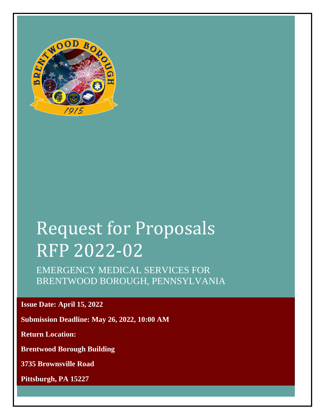

# Request for Proposals RFP 2022-02

EMERGENCY MEDICAL SERVICES FOR BRENTWOOD BOROUGH, PENNSYLVANIA

**Issue Date: April 15, 2022** 

**Submission Deadline: May 26, 2022, 10:00 AM** 

**Return Location:** 

**Brentwood Borough Building** 

**3735 Brownsville Road** 

**Pittsburgh, PA 15227**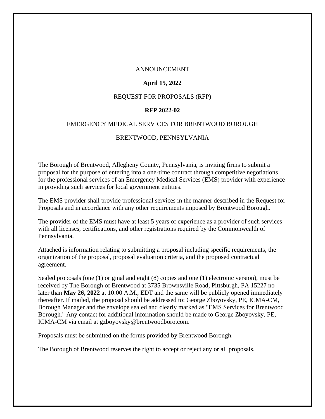#### ANNOUNCEMENT

#### **April 15, 2022**

#### REQUEST FOR PROPOSALS (RFP)

#### **RFP 2022-02**

#### EMERGENCY MEDICAL SERVICES FOR BRENTWOOD BOROUGH

#### BRENTWOOD, PENNSYLVANIA

The Borough of Brentwood, Allegheny County, Pennsylvania, is inviting firms to submit a proposal for the purpose of entering into a one-time contract through competitive negotiations for the professional services of an Emergency Medical Services (EMS) provider with experience in providing such services for local government entities.

The EMS provider shall provide professional services in the manner described in the Request for Proposals and in accordance with any other requirements imposed by Brentwood Borough.

The provider of the EMS must have at least 5 years of experience as a provider of such services with all licenses, certifications, and other registrations required by the Commonwealth of Pennsylvania.

Attached is information relating to submitting a proposal including specific requirements, the organization of the proposal, proposal evaluation criteria, and the proposed contractual agreement.

Sealed proposals (one (1) original and eight (8) copies and one (1) electronic version), must be received by The Borough of Brentwood at 3735 Brownsville Road, Pittsburgh, PA 15227 no later than **May 26, 2022** at 10:00 A.M., EDT and the same will be publicly opened immediately thereafter. If mailed, the proposal should be addressed to: George Zboyovsky, PE, ICMA-CM, Borough Manager and the envelope sealed and clearly marked as "EMS Services for Brentwood Borough." Any contact for additional information should be made to George Zboyovsky, PE, ICMA-CM via email at gzboyovsky@brentwoodboro.com.

Proposals must be submitted on the forms provided by Brentwood Borough.

The Borough of Brentwood reserves the right to accept or reject any or all proposals.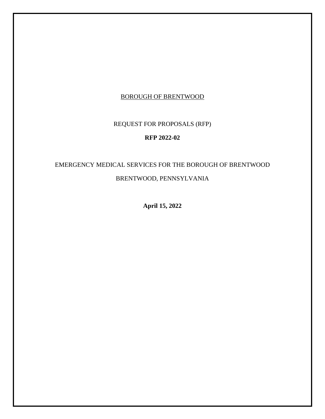# BOROUGH OF BRENTWOOD

# REQUEST FOR PROPOSALS (RFP)

#### **RFP 2022-02**

# EMERGENCY MEDICAL SERVICES FOR THE BOROUGH OF BRENTWOOD BRENTWOOD, PENNSYLVANIA

**April 15, 2022**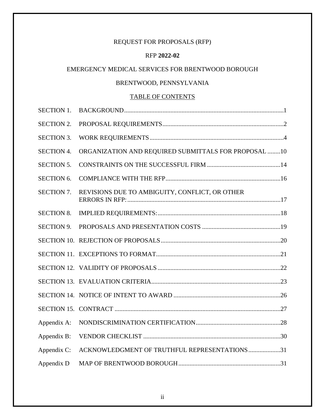# REQUEST FOR PROPOSALS (RFP)

#### RFP **2022-02**

### EMERGENCY MEDICAL SERVICES FOR BRENTWOOD BOROUGH

# BRENTWOOD, PENNSYLVANIA

# TABLE OF CONTENTS

| <b>SECTION 1.</b> |                                                      |
|-------------------|------------------------------------------------------|
| <b>SECTION 2.</b> |                                                      |
| <b>SECTION 3.</b> |                                                      |
| <b>SECTION 4.</b> | ORGANIZATION AND REQUIRED SUBMITTALS FOR PROPOSAL 10 |
| <b>SECTION 5.</b> |                                                      |
| <b>SECTION 6.</b> |                                                      |
| <b>SECTION 7.</b> | REVISIONS DUE TO AMBIGUITY, CONFLICT, OR OTHER       |
| <b>SECTION 8.</b> |                                                      |
| <b>SECTION 9.</b> |                                                      |
|                   |                                                      |
|                   |                                                      |
|                   |                                                      |
|                   |                                                      |
|                   |                                                      |
|                   |                                                      |
| Appendix A:       |                                                      |
| Appendix B:       |                                                      |
| Appendix C:       | ACKNOWLEDGMENT OF TRUTHFUL REPRESENTATIONS31         |
| Appendix D        |                                                      |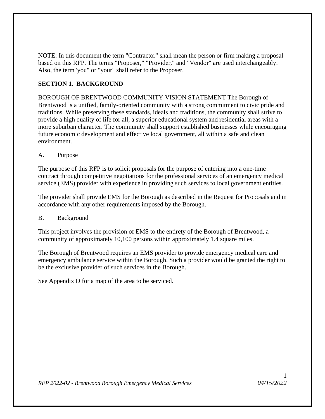NOTE: In this document the term "Contractor" shall mean the person or firm making a proposal based on this RFP. The terms "Proposer," "Provider," and "Vendor" are used interchangeably. Also, the term 'you" or "your" shall refer to the Proposer.

### **SECTION 1. BACKGROUND**

BOROUGH OF BRENTWOOD COMMUNITY VISION STATEMENT The Borough of Brentwood is a unified, family-oriented community with a strong commitment to civic pride and traditions. While preserving these standards, ideals and traditions, the community shall strive to provide a high quality of life for all, a superior educational system and residential areas with a more suburban character. The community shall support established businesses while encouraging future economic development and effective local government, all within a safe and clean environment.

#### A. Purpose

The purpose of this RFP is to solicit proposals for the purpose of entering into a one-time contract through competitive negotiations for the professional services of an emergency medical service (EMS) provider with experience in providing such services to local government entities.

The provider shall provide EMS for the Borough as described in the Request for Proposals and in accordance with any other requirements imposed by the Borough.

#### B. Background

This project involves the provision of EMS to the entirety of the Borough of Brentwood, a community of approximately 10,100 persons within approximately 1.4 square miles.

The Borough of Brentwood requires an EMS provider to provide emergency medical care and emergency ambulance service within the Borough. Such a provider would be granted the right to be the exclusive provider of such services in the Borough.

See Appendix D for a map of the area to be serviced.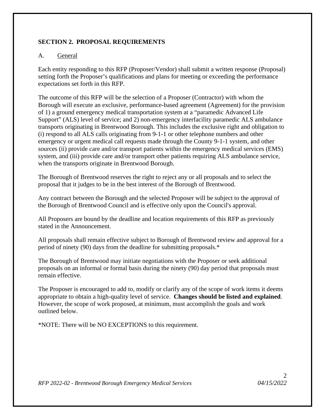# **SECTION 2. PROPOSAL REQUIREMENTS**

# A. General

Each entity responding to this RFP (Proposer/Vendor) shall submit a written response (Proposal) setting forth the Proposer's qualifications and plans for meeting or exceeding the performance expectations set forth in this RFP.

The outcome of this RFP will be the selection of a Proposer (Contractor) with whom the Borough will execute an exclusive, performance-based agreement (Agreement) for the provision of 1) a ground emergency medical transportation system at a "paramedic Advanced Life Support" (ALS) level of service; and 2) non-emergency interfacility paramedic ALS ambulance transports originating in Brentwood Borough. This includes the exclusive right and obligation to (i) respond to all ALS calls originating from 9-1-1 or other telephone numbers and other emergency or urgent medical call requests made through the County 9-1-1 system, and other sources (ii) provide care and/or transport patients within the emergency medical services (EMS) system, and (iii) provide care and/or transport other patients requiring ALS ambulance service, when the transports originate in Brentwood Borough.

The Borough of Brentwood reserves the right to reject any or all proposals and to select the proposal that it judges to be in the best interest of the Borough of Brentwood.

Any contract between the Borough and the selected Proposer will be subject to the approval of the Borough of Brentwood Council and is effective only upon the Council's approval.

All Proposers are bound by the deadline and location requirements of this RFP as previously stated in the Announcement.

All proposals shall remain effective subject to Borough of Brentwood review and approval for a period of ninety (90) days from the deadline for submitting proposals.\*

The Borough of Brentwood may initiate negotiations with the Proposer or seek additional proposals on an informal or formal basis during the ninety (90) day period that proposals must remain effective.

The Proposer is encouraged to add to, modify or clarify any of the scope of work items it deems appropriate to obtain a high-quality level of service. **Changes should be listed and explained**. However, the scope of work proposed, at minimum, must accomplish the goals and work outlined below.

\*NOTE: There will be NO EXCEPTIONS to this requirement.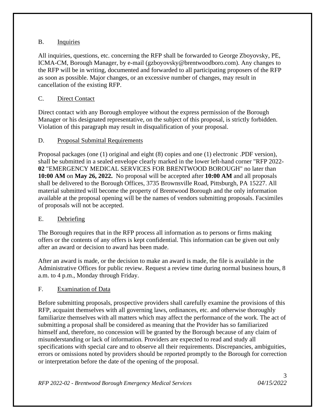### B. Inquiries

All inquiries, questions, etc. concerning the RFP shall be forwarded to George Zboyovsky, PE, ICMA-CM, Borough Manager, by e-mail (gzboyovsky@brentwoodboro.com). Any changes to the RFP will be in writing, documented and forwarded to all participating proposers of the RFP as soon as possible. Major changes, or an excessive number of changes, may result in cancellation of the existing RFP.

# C. Direct Contact

Direct contact with any Borough employee without the express permission of the Borough Manager or his designated representative, on the subject of this proposal, is strictly forbidden. Violation of this paragraph may result in disqualification of your proposal.

# D. Proposal Submittal Requirements

Proposal packages (one (1) original and eight (8) copies and one (1) electronic .PDF version), shall be submitted in a sealed envelope clearly marked in the lower left-hand corner "RFP 2022- **02** "EMERGENCY MEDICAL SERVICES FOR BRENTWOOD BOROUGH" no later than **10:00 AM** on **May 26, 2022.** No proposal will be accepted after **10:00 AM** and all proposals shall be delivered to the Borough Offices, 3735 Brownsville Road, Pittsburgh, PA 15227. All material submitted will become the property of Brentwood Borough and the only information available at the proposal opening will be the names of vendors submitting proposals. Facsimiles of proposals will not be accepted.

### E. Debriefing

The Borough requires that in the RFP process all information as to persons or firms making offers or the contents of any offers is kept confidential. This information can be given out only after an award or decision to award has been made.

After an award is made, or the decision to make an award is made, the file is available in the Administrative Offices for public review. Request a review time during normal business hours, 8 a.m. to 4 p.m., Monday through Friday.

### F. Examination of Data

Before submitting proposals, prospective providers shall carefully examine the provisions of this RFP, acquaint themselves with all governing laws, ordinances, etc. and otherwise thoroughly familiarize themselves with all matters which may affect the performance of the work. The act of submitting a proposal shall be considered as meaning that the Provider has so familiarized himself and, therefore, no concession will be granted by the Borough because of any claim of misunderstanding or lack of information. Providers are expected to read and study all specifications with special care and to observe all their requirements. Discrepancies, ambiguities, errors or omissions noted by providers should be reported promptly to the Borough for correction or interpretation before the date of the opening of the proposal.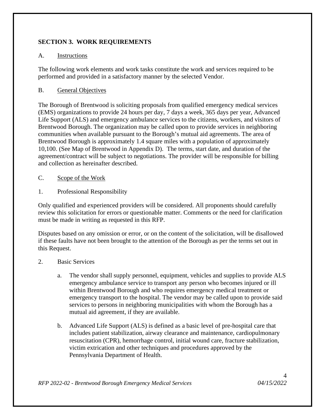# **SECTION 3. WORK REQUIREMENTS**

### A. Instructions

The following work elements and work tasks constitute the work and services required to be performed and provided in a satisfactory manner by the selected Vendor.

# B. General Objectives

The Borough of Brentwood is soliciting proposals from qualified emergency medical services (EMS) organizations to provide 24 hours per day, 7 days a week, 365 days per year, Advanced Life Support (ALS) and emergency ambulance services to the citizens, workers, and visitors of Brentwood Borough. The organization may be called upon to provide services in neighboring communities when available pursuant to the Borough's mutual aid agreements. The area of Brentwood Borough is approximately 1.4 square miles with a population of approximately 10,100. (See Map of Brentwood in Appendix D). The terms, start date, and duration of the agreement/contract will be subject to negotiations. The provider will be responsible for billing and collection as hereinafter described.

### C. Scope of the Work

1. Professional Responsibility

Only qualified and experienced providers will be considered. All proponents should carefully review this solicitation for errors or questionable matter. Comments or the need for clarification must be made in writing as requested in this RFP.

Disputes based on any omission or error, or on the content of the solicitation, will be disallowed if these faults have not been brought to the attention of the Borough as per the terms set out in this Request.

- 2. Basic Services
	- a. The vendor shall supply personnel, equipment, vehicles and supplies to provide ALS emergency ambulance service to transport any person who becomes injured or ill within Brentwood Borough and who requires emergency medical treatment or emergency transport to the hospital. The vendor may be called upon to provide said services to persons in neighboring municipalities with whom the Borough has a mutual aid agreement, if they are available.
	- b. Advanced Life Support (ALS) is defined as a basic level of pre-hospital care that includes patient stabilization, airway clearance and maintenance, cardiopulmonary resuscitation (CPR), hemorrhage control, initial wound care, fracture stabilization, victim extrication and other techniques and procedures approved by the Pennsylvania Department of Health.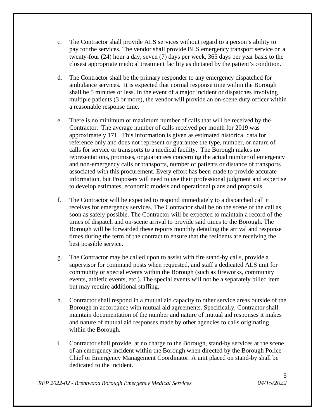- c. The Contractor shall provide ALS services without regard to a person's ability to pay for the services. The vendor shall provide BLS emergency transport service on a twenty-four (24) hour a day, seven (7) days per week, 365 days per year basis to the closest appropriate medical treatment facility as dictated by the patient's condition.
- d. The Contractor shall be the primary responder to any emergency dispatched for ambulance services. It is expected that normal response time within the Borough shall be 5 minutes or less. In the event of a major incident or dispatches involving multiple patients (3 or more), the vendor will provide an on-scene duty officer within a reasonable response time.
- e. There is no minimum or maximum number of calls that will be received by the Contractor. The average number of calls received per month for 2019 was approximately 171. This information is given as estimated historical data for reference only and does not represent or guarantee the type, number, or nature of calls for service or transports to a medical facility. The Borough makes no representations, promises, or guarantees concerning the actual number of emergency and non-emergency calls or transports, number of patients or distance of transports associated with this procurement. Every effort has been made to provide accurate information, but Proposers will need to use their professional judgment and expertise to develop estimates, economic models and operational plans and proposals.
- f. The Contractor will be expected to respond immediately to a dispatched call it receives for emergency services. The Contractor shall be on the scene of the call as soon as safely possible. The Contractor will be expected to maintain a record of the times of dispatch and on-scene arrival to provide said times to the Borough. The Borough will be forwarded these reports monthly detailing the arrival and response times during the term of the contract to ensure that the residents are receiving the best possible service.
- g. The Contractor may be called upon to assist with fire stand-by calls, provide a supervisor for command posts when requested, and staff a dedicated ALS unit for community or special events within the Borough (such as fireworks, community events, athletic events, etc.). The special events will not be a separately billed item but may require additional staffing.
- h. Contractor shall respond in a mutual aid capacity to other service areas outside of the Borough in accordance with mutual aid agreements. Specifically, Contractor shall maintain documentation of the number and nature of mutual aid responses it makes and nature of mutual aid responses made by other agencies to calls originating within the Borough.
- i. Contractor shall provide, at no charge to the Borough, stand-by services at the scene of an emergency incident within the Borough when directed by the Borough Police Chief or Emergency Management Coordinator. A unit placed on stand-by shall be dedicated to the incident.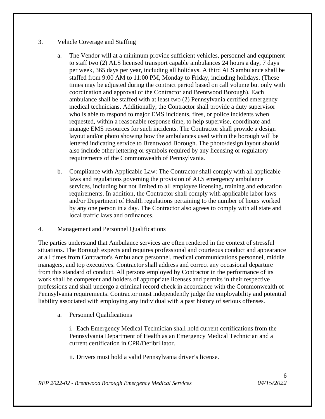#### 3. Vehicle Coverage and Staffing

- a. The Vendor will at a minimum provide sufficient vehicles, personnel and equipment to staff two (2) ALS licensed transport capable ambulances 24 hours a day, 7 days per week, 365 days per year, including all holidays. A third ALS ambulance shall be staffed from 9:00 AM to 11:00 PM, Monday to Friday, including holidays. (These times may be adjusted during the contract period based on call volume but only with coordination and approval of the Contractor and Brentwood Borough). Each ambulance shall be staffed with at least two (2) Pennsylvania certified emergency medical technicians. Additionally, the Contractor shall provide a duty supervisor who is able to respond to major EMS incidents, fires, or police incidents when requested, within a reasonable response time, to help supervise, coordinate and manage EMS resources for such incidents. The Contractor shall provide a design layout and/or photo showing how the ambulances used within the borough will be lettered indicating service to Brentwood Borough. The photo/design layout should also include other lettering or symbols required by any licensing or regulatory requirements of the Commonwealth of Pennsylvania.
- b. Compliance with Applicable Law: The Contractor shall comply with all applicable laws and regulations governing the provision of ALS emergency ambulance services, including but not limited to all employee licensing, training and education requirements. In addition, the Contractor shall comply with applicable labor laws and/or Department of Health regulations pertaining to the number of hours worked by any one person in a day. The Contractor also agrees to comply with all state and local traffic laws and ordinances.
- 4. Management and Personnel Qualifications

The parties understand that Ambulance services are often rendered in the context of stressful situations. The Borough expects and requires professional and courteous conduct and appearance at all times from Contractor's Ambulance personnel, medical communications personnel, middle managers, and top executives. Contractor shall address and correct any occasional departure from this standard of conduct. All persons employed by Contractor in the performance of its work shall be competent and holders of appropriate licenses and permits in their respective professions and shall undergo a criminal record check in accordance with the Commonwealth of Pennsylvania requirements. Contractor must independently judge the employability and potential liability associated with employing any individual with a past history of serious offenses.

a. Personnel Qualifications

 i. Each Emergency Medical Technician shall hold current certifications from the Pennsylvania Department of Health as an Emergency Medical Technician and a current certification in CPR/Defibrillator.

ii. Drivers must hold a valid Pennsylvania driver's license.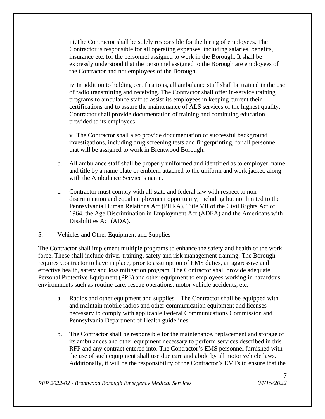iii. The Contractor shall be solely responsible for the hiring of employees. The Contractor is responsible for all operating expenses, including salaries, benefits, insurance etc. for the personnel assigned to work in the Borough. It shall be expressly understood that the personnel assigned to the Borough are employees of the Contractor and not employees of the Borough.

 iv. In addition to holding certifications, all ambulance staff shall be trained in the use of radio transmitting and receiving. The Contractor shall offer in-service training programs to ambulance staff to assist its employees in keeping current their certifications and to assure the maintenance of ALS services of the highest quality. Contractor shall provide documentation of training and continuing education provided to its employees.

 v. The Contractor shall also provide documentation of successful background investigations, including drug screening tests and fingerprinting, for all personnel that will be assigned to work in Brentwood Borough.

- b. All ambulance staff shall be properly uniformed and identified as to employer, name and title by a name plate or emblem attached to the uniform and work jacket, along with the Ambulance Service's name.
- c. Contractor must comply with all state and federal law with respect to nondiscrimination and equal employment opportunity, including but not limited to the Pennsylvania Human Relations Act (PHRA), Title VII of the Civil Rights Act of 1964, the Age Discrimination in Employment Act (ADEA) and the Americans with Disabilities Act (ADA).
- 5. Vehicles and Other Equipment and Supplies

The Contractor shall implement multiple programs to enhance the safety and health of the work force. These shall include driver-training, safety and risk management training. The Borough requires Contractor to have in place, prior to assumption of EMS duties, an aggressive and effective health, safety and loss mitigation program. The Contractor shall provide adequate Personal Protective Equipment (PPE) and other equipment to employees working in hazardous environments such as routine care, rescue operations, motor vehicle accidents, etc.

- a. Radios and other equipment and supplies The Contractor shall be equipped with and maintain mobile radios and other communication equipment and licenses necessary to comply with applicable Federal Communications Commission and Pennsylvania Department of Health guidelines.
- b. The Contractor shall be responsible for the maintenance, replacement and storage of its ambulances and other equipment necessary to perform services described in this RFP and any contract entered into. The Contractor's EMS personnel furnished with the use of such equipment shall use due care and abide by all motor vehicle laws. Additionally, it will be the responsibility of the Contractor's EMTs to ensure that the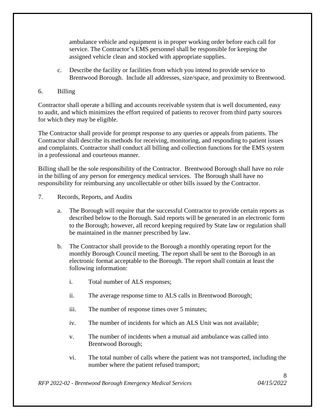ambulance vehicle and equipment is in proper working order before each call for service. The Contractor's EMS personnel shall be responsible for keeping the assigned vehicle clean and stocked with appropriate supplies.

c. Describe the facility or facilities from which you intend to provide service to Brentwood Borough. Include all addresses, size/space, and proximity to Brentwood.

### 6. Billing

Contractor shall operate a billing and accounts receivable system that is well documented, easy to audit, and which minimizes the effort required of patients to recover from third party sources for which they may be eligible.

The Contractor shall provide for prompt response to any queries or appeals from patients. The Contractor shall describe its methods for receiving, monitoring, and responding to patient issues and complaints. Contractor shall conduct all billing and collection functions for the EMS system in a professional and courteous manner.

Billing shall be the sole responsibility of the Contractor. Brentwood Borough shall have no role in the billing of any person for emergency medical services. The Borough shall have no responsibility for reimbursing any uncollectable or other bills issued by the Contractor.

- 7. Records, Reports, and Audits
	- a. The Borough will require that the successful Contractor to provide certain reports as described below to the Borough. Said reports will be generated in an electronic form to the Borough; however, all record keeping required by State law or regulation shall be maintained in the manner prescribed by law.
	- b. The Contractor shall provide to the Borough a monthly operating report for the monthly Borough Council meeting. The report shall be sent to the Borough in an electronic format acceptable to the Borough. The report shall contain at least the following information:
		- i. Total number of ALS responses;
		- ii. The average response time to ALS calls in Brentwood Borough;
		- iii. The number of response times over 5 minutes;
		- iv. The number of incidents for which an ALS Unit was not available;
		- v. The number of incidents when a mutual aid ambulance was called into Brentwood Borough;
		- vi. The total number of calls where the patient was not transported, including the number where the patient refused transport;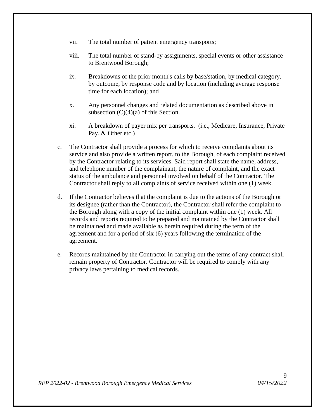- vii. The total number of patient emergency transports;
- viii. The total number of stand-by assignments, special events or other assistance to Brentwood Borough;
- ix. Breakdowns of the prior month's calls by base/station, by medical category, by outcome, by response code and by location (including average response time for each location); and
- x. Any personnel changes and related documentation as described above in subsection  $(C)(4)(a)$  of this Section.
- xi. A breakdown of payer mix per transports. (i.e., Medicare, Insurance, Private Pay, & Other etc.)
- c. The Contractor shall provide a process for which to receive complaints about its service and also provide a written report, to the Borough, of each complaint received by the Contractor relating to its services. Said report shall state the name, address, and telephone number of the complainant, the nature of complaint, and the exact status of the ambulance and personnel involved on behalf of the Contractor. The Contractor shall reply to all complaints of service received within one (1) week.
- d. If the Contractor believes that the complaint is due to the actions of the Borough or its designee (rather than the Contractor), the Contractor shall refer the complaint to the Borough along with a copy of the initial complaint within one (1) week. All records and reports required to be prepared and maintained by the Contractor shall be maintained and made available as herein required during the term of the agreement and for a period of six (6) years following the termination of the agreement.
- e. Records maintained by the Contractor in carrying out the terms of any contract shall remain property of Contractor. Contractor will be required to comply with any privacy laws pertaining to medical records.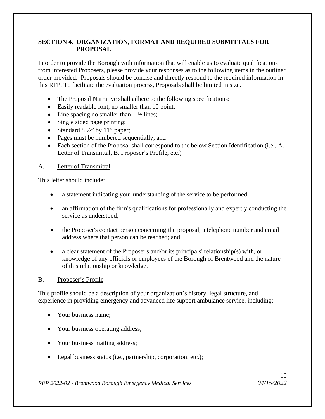# **SECTION 4. ORGANIZATION, FORMAT AND REQUIRED SUBMITTALS FOR PROPOSAL**

In order to provide the Borough with information that will enable us to evaluate qualifications from interested Proposers, please provide your responses as to the following items in the outlined order provided. Proposals should be concise and directly respond to the required information in this RFP. To facilitate the evaluation process, Proposals shall be limited in size.

- The Proposal Narrative shall adhere to the following specifications:
- Easily readable font, no smaller than 10 point;
- Line spacing no smaller than  $1 \frac{1}{2}$  lines;
- Single sided page printing;
- Standard  $8\frac{1}{2}$ " by 11" paper;
- Pages must be numbered sequentially; and
- Each section of the Proposal shall correspond to the below Section Identification (i.e., A. Letter of Transmittal, B. Proposer's Profile, etc.)

#### A. Letter of Transmittal

This letter should include:

- a statement indicating your understanding of the service to be performed;
- an affirmation of the firm's qualifications for professionally and expertly conducting the service as understood;
- the Proposer's contact person concerning the proposal, a telephone number and email address where that person can be reached; and,
- a clear statement of the Proposer's and/or its principals' relationship(s) with, or knowledge of any officials or employees of the Borough of Brentwood and the nature of this relationship or knowledge.

### B. Proposer's Profile

This profile should be a description of your organization's history, legal structure, and experience in providing emergency and advanced life support ambulance service, including:

- Your business name;
- Your business operating address;
- Your business mailing address;
- Legal business status (i.e., partnership, corporation, etc.);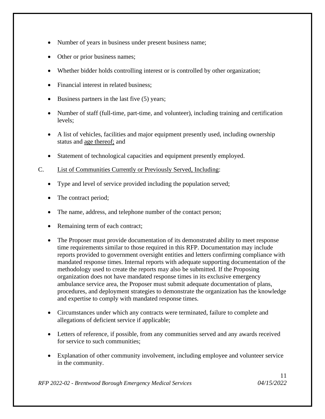- Number of years in business under present business name;
- Other or prior business names;
- Whether bidder holds controlling interest or is controlled by other organization;
- Financial interest in related business:
- Business partners in the last five (5) years;
- Number of staff (full-time, part-time, and volunteer), including training and certification levels;
- A list of vehicles, facilities and major equipment presently used, including ownership status and age thereof; and
- Statement of technological capacities and equipment presently employed.
- C. List of Communities Currently or Previously Served, Including:
	- Type and level of service provided including the population served;
	- The contract period;
	- The name, address, and telephone number of the contact person;
	- Remaining term of each contract;
	- The Proposer must provide documentation of its demonstrated ability to meet response time requirements similar to those required in this RFP. Documentation may include reports provided to government oversight entities and letters confirming compliance with mandated response times. Internal reports with adequate supporting documentation of the methodology used to create the reports may also be submitted. If the Proposing organization does not have mandated response times in its exclusive emergency ambulance service area, the Proposer must submit adequate documentation of plans, procedures, and deployment strategies to demonstrate the organization has the knowledge and expertise to comply with mandated response times.
	- Circumstances under which any contracts were terminated, failure to complete and allegations of deficient service if applicable;
	- Letters of reference, if possible, from any communities served and any awards received for service to such communities;
	- Explanation of other community involvement, including employee and volunteer service in the community.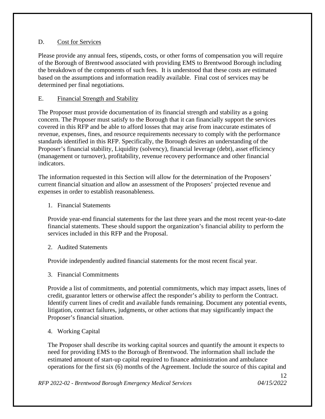# D. Cost for Services

Please provide any annual fees, stipends, costs, or other forms of compensation you will require of the Borough of Brentwood associated with providing EMS to Brentwood Borough including the breakdown of the components of such fees. It is understood that these costs are estimated based on the assumptions and information readily available. Final cost of services may be determined per final negotiations.

# E. Financial Strength and Stability

The Proposer must provide documentation of its financial strength and stability as a going concern. The Proposer must satisfy to the Borough that it can financially support the services covered in this RFP and be able to afford losses that may arise from inaccurate estimates of revenue, expenses, fines, and resource requirements necessary to comply with the performance standards identified in this RFP. Specifically, the Borough desires an understanding of the Proposer's financial stability, Liquidity (solvency), financial leverage (debt), asset efficiency (management or turnover), profitability, revenue recovery performance and other financial indicators.

The information requested in this Section will allow for the determination of the Proposers' current financial situation and allow an assessment of the Proposers' projected revenue and expenses in order to establish reasonableness.

1. Financial Statements

Provide year-end financial statements for the last three years and the most recent year-to-date financial statements. These should support the organization's financial ability to perform the services included in this RFP and the Proposal.

2. Audited Statements

Provide independently audited financial statements for the most recent fiscal year.

3. Financial Commitments

Provide a list of commitments, and potential commitments, which may impact assets, lines of credit, guarantor letters or otherwise affect the responder's ability to perform the Contract. Identify current lines of credit and available funds remaining. Document any potential events, litigation, contract failures, judgments, or other actions that may significantly impact the Proposer's financial situation.

4. Working Capital

The Proposer shall describe its working capital sources and quantify the amount it expects to need for providing EMS to the Borough of Brentwood. The information shall include the estimated amount of start-up capital required to finance administration and ambulance operations for the first six (6) months of the Agreement. Include the source of this capital and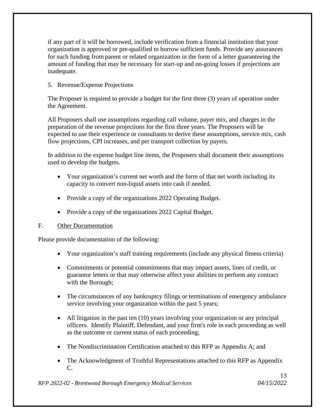if any part of it will be borrowed, include verification from a financial institution that your organization is approved or pre-qualified to borrow sufficient funds. Provide any assurances for such funding from parent or related organization in the form of a letter guaranteeing the amount of funding that may be necessary for start-up and on-going losses if projections are inadequate.

# 5. Revenue/Expense Projections

The Proposer is required to provide a budget for the first three (3) years of operation under the Agreement.

All Proposers shall use assumptions regarding call volume, payer mix, and charges in the preparation of the revenue projections for the first three years. The Proposers will be expected to use their experience or consultants to derive these assumptions, service mix, cash flow projections, CPI increases, and per transport collection by payers.

In addition to the expense budget line items, the Proposers shall document their assumptions used to develop the budgets.

- Your organization's current net worth and the form of that net worth including its capacity to convert non-liquid assets into cash if needed.
- Provide a copy of the organizations 2022 Operating Budget.
- Provide a copy of the organizations 2022 Capital Budget.

### F. Other Documentation

Please provide documentation of the following:

- Your organization's staff training requirements (include any physical fitness criteria)
- Commitments or potential commitments that may impact assets, lines of credit, or guarantor letters or that may otherwise affect your abilities to perform any contract with the Borough;
- The circumstances of any bankruptcy filings or terminations of emergency ambulance service involving your organization within the past 5 years;
- All litigation in the past ten (10) years involving your organization or any principal officers. Identify Plaintiff, Defendant, and your firm's role in each proceeding as well as the outcome or current status of each proceeding;
- The Nondiscrimination Certification attached to this RFP as Appendix A; and
- The Acknowledgment of Truthful Representations attached to this RFP as Appendix C.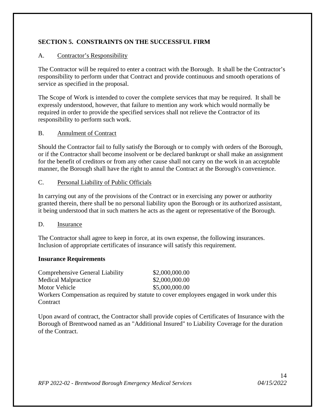# **SECTION 5. CONSTRAINTS ON THE SUCCESSFUL FIRM**

### A. Contractor's Responsibility

The Contractor will be required to enter a contract with the Borough. It shall be the Contractor's responsibility to perform under that Contract and provide continuous and smooth operations of service as specified in the proposal.

The Scope of Work is intended to cover the complete services that may be required. It shall be expressly understood, however, that failure to mention any work which would normally be required in order to provide the specified services shall not relieve the Contractor of its responsibility to perform such work.

#### B. Annulment of Contract

Should the Contractor fail to fully satisfy the Borough or to comply with orders of the Borough, or if the Contractor shall become insolvent or be declared bankrupt or shall make an assignment for the benefit of creditors or from any other cause shall not carry on the work in an acceptable manner, the Borough shall have the right to annul the Contract at the Borough's convenience.

#### C. Personal Liability of Public Officials

In carrying out any of the provisions of the Contract or in exercising any power or authority granted therein, there shall be no personal liability upon the Borough or its authorized assistant, it being understood that in such matters he acts as the agent or representative of the Borough.

#### D. Insurance

The Contractor shall agree to keep in force, at its own expense, the following insurances. Inclusion of appropriate certificates of insurance will satisfy this requirement.

#### **Insurance Requirements**

Comprehensive General Liability \$2,000,000.00 Medical Malpractice  $$2,000,000.00$ Motor Vehicle \$5,000,000.00 Workers Compensation as required by statute to cover employees engaged in work under this **Contract** 

Upon award of contract, the Contractor shall provide copies of Certificates of Insurance with the Borough of Brentwood named as an "Additional Insured" to Liability Coverage for the duration of the Contract.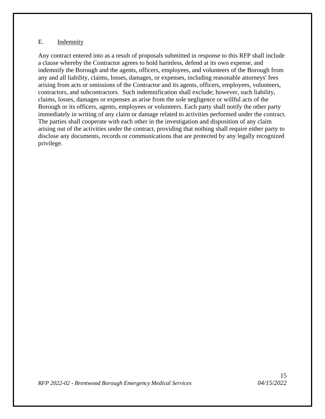#### E. Indemnity

Any contract entered into as a result of proposals submitted in response to this RFP shall include a clause whereby the Contractor agrees to hold harmless, defend at its own expense, and indemnify the Borough and the agents, officers, employees, and volunteers of the Borough from any and all liability, claims, losses, damages, or expenses, including reasonable attorneys' fees arising from acts or omissions of the Contractor and its agents, officers, employees, volunteers, contractors, and subcontractors. Such indemnification shall exclude; however, such liability, claims, losses, damages or expenses as arise from the sole negligence or willful acts of the Borough or its officers, agents, employees or volunteers. Each party shall notify the other party immediately in writing of any claim or damage related to activities performed under the contract. The parties shall cooperate with each other in the investigation and disposition of any claim arising out of the activities under the contract, providing that nothing shall require either party to disclose any documents, records or communications that are protected by any legally recognized privilege.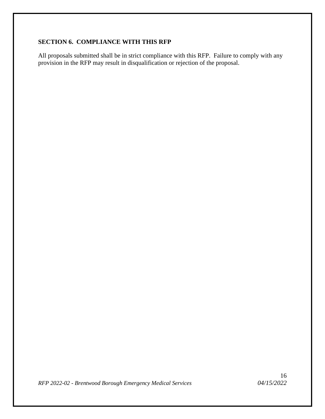# **SECTION 6. COMPLIANCE WITH THIS RFP**

All proposals submitted shall be in strict compliance with this RFP. Failure to comply with any provision in the RFP may result in disqualification or rejection of the proposal.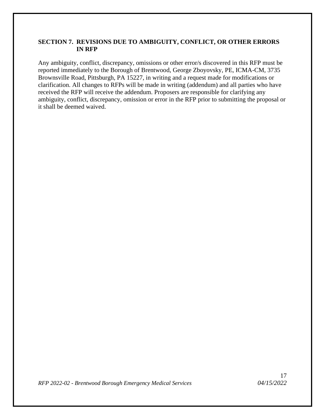### **SECTION 7. REVISIONS DUE TO AMBIGUITY, CONFLICT, OR OTHER ERRORS IN RFP**

Any ambiguity, conflict, discrepancy, omissions or other error/s discovered in this RFP must be reported immediately to the Borough of Brentwood, George Zboyovsky, PE, ICMA-CM, 3735 Brownsville Road, Pittsburgh, PA 15227, in writing and a request made for modifications or clarification. All changes to RFPs will be made in writing (addendum) and all parties who have received the RFP will receive the addendum. Proposers are responsible for clarifying any ambiguity, conflict, discrepancy, omission or error in the RFP prior to submitting the proposal or it shall be deemed waived.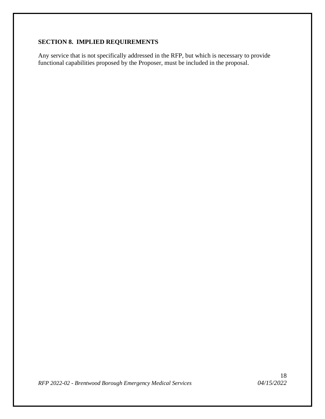# **SECTION 8. IMPLIED REQUIREMENTS**

Any service that is not specifically addressed in the RFP, but which is necessary to provide functional capabilities proposed by the Proposer, must be included in the proposal.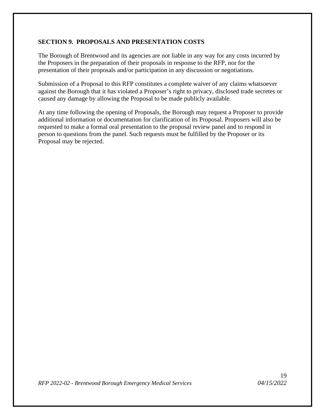#### **SECTION 9. PROPOSALS AND PRESENTATION COSTS**

The Borough of Brentwood and its agencies are not liable in any way for any costs incurred by the Proposers in the preparation of their proposals in response to the RFP, nor for the presentation of their proposals and/or participation in any discussion or negotiations.

Submission of a Proposal to this RFP constitutes a complete waiver of any claims whatsoever against the Borough that it has violated a Proposer's right to privacy, disclosed trade secretes or caused any damage by allowing the Proposal to be made publicly available.

At any time following the opening of Proposals, the Borough may request a Proposer to provide additional information or documentation for clarification of its Proposal. Proposers will also be requested to make a formal oral presentation to the proposal review panel and to respond in person to questions from the panel. Such requests must be fulfilled by the Proposer or its Proposal may be rejected.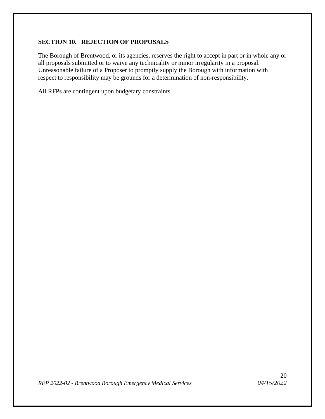#### **SECTION 10. REJECTION OF PROPOSALS**

The Borough of Brentwood, or its agencies, reserves the right to accept in part or in whole any or all proposals submitted or to waive any technicality or minor irregularity in a proposal. Unreasonable failure of a Proposer to promptly supply the Borough with information with respect to responsibility may be grounds for a determination of non-responsibility.

All RFPs are contingent upon budgetary constraints.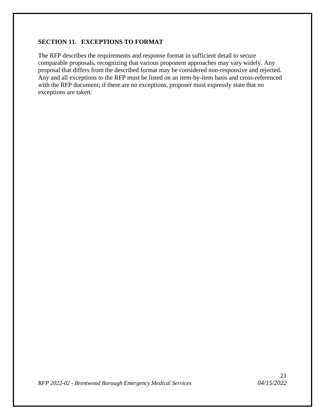### **SECTION 11. EXCEPTIONS TO FORMAT**

The RFP describes the requirements and response format in sufficient detail to secure comparable proposals, recognizing that various proponent approaches may vary widely. Any proposal that differs from the described format may be considered non-responsive and rejected. Any and all exceptions to the RFP must be listed on an item-by-item basis and cross-referenced with the RFP document; if there are no exceptions, proposer must expressly state that no exceptions are taken.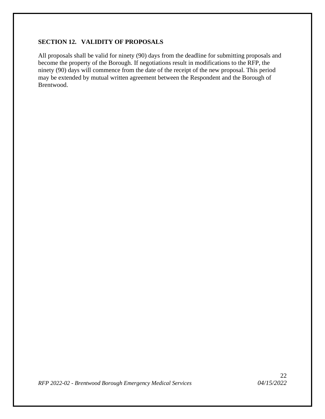# **SECTION 12. VALIDITY OF PROPOSALS**

All proposals shall be valid for ninety (90) days from the deadline for submitting proposals and become the property of the Borough. If negotiations result in modifications to the RFP, the ninety (90) days will commence from the date of the receipt of the new proposal. This period may be extended by mutual written agreement between the Respondent and the Borough of Brentwood.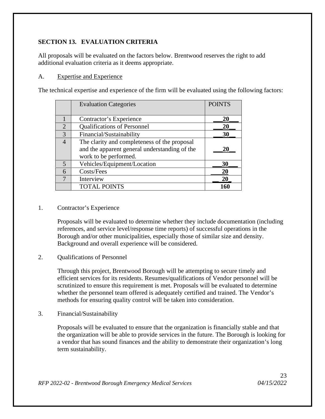# **SECTION 13. EVALUATION CRITERIA**

All proposals will be evaluated on the factors below. Brentwood reserves the right to add additional evaluation criteria as it deems appropriate.

# A. Expertise and Experience

The technical expertise and experience of the firm will be evaluated using the following factors:

|                       | <b>Evaluation Categories</b>                  | <b>POINTS</b> |
|-----------------------|-----------------------------------------------|---------------|
|                       |                                               |               |
|                       | Contractor's Experience                       | 20            |
| $\mathcal{D}_{\cdot}$ | <b>Qualifications of Personnel</b>            | 20            |
| 3                     | Financial/Sustainability                      | 30            |
| $\overline{A}$        | The clarity and completeness of the proposal  |               |
|                       | and the apparent general understanding of the | 20            |
|                       | work to be performed.                         |               |
| 5                     | Vehicles/Equipment/Location                   | 30            |
| 6                     | Costs/Fees                                    | 20            |
| $\mathbf{7}$          | Interview                                     | 20            |
|                       | <b>TOTAL POINTS</b>                           |               |

### 1. Contractor's Experience

Proposals will be evaluated to determine whether they include documentation (including references, and service level/response time reports) of successful operations in the Borough and/or other municipalities, especially those of similar size and density. Background and overall experience will be considered.

2. Qualifications of Personnel

Through this project, Brentwood Borough will be attempting to secure timely and efficient services for its residents. Resumes/qualifications of Vendor personnel will be scrutinized to ensure this requirement is met. Proposals will be evaluated to determine whether the personnel team offered is adequately certified and trained. The Vendor's methods for ensuring quality control will be taken into consideration.

3. Financial/Sustainability

Proposals will be evaluated to ensure that the organization is financially stable and that the organization will be able to provide services in the future. The Borough is looking for a vendor that has sound finances and the ability to demonstrate their organization's long term sustainability.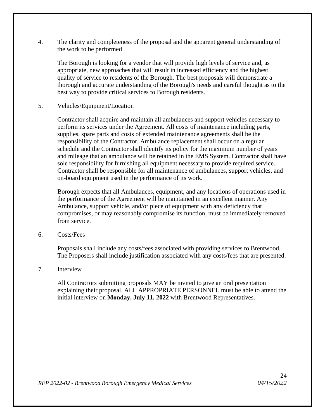4. The clarity and completeness of the proposal and the apparent general understanding of the work to be performed

The Borough is looking for a vendor that will provide high levels of service and, as appropriate, new approaches that will result in increased efficiency and the highest quality of service to residents of the Borough. The best proposals will demonstrate a thorough and accurate understanding of the Borough's needs and careful thought as to the best way to provide critical services to Borough residents.

5. Vehicles/Equipment/Location

Contractor shall acquire and maintain all ambulances and support vehicles necessary to perform its services under the Agreement. All costs of maintenance including parts, supplies, spare parts and costs of extended maintenance agreements shall be the responsibility of the Contractor. Ambulance replacement shall occur on a regular schedule and the Contractor shall identify its policy for the maximum number of years and mileage that an ambulance will be retained in the EMS System. Contractor shall have sole responsibility for furnishing all equipment necessary to provide required service. Contractor shall be responsible for all maintenance of ambulances, support vehicles, and on-board equipment used in the performance of its work.

Borough expects that all Ambulances, equipment, and any locations of operations used in the performance of the Agreement will be maintained in an excellent manner. Any Ambulance, support vehicle, and/or piece of equipment with any deficiency that compromises, or may reasonably compromise its function, must be immediately removed from service.

#### 6. Costs/Fees

Proposals shall include any costs/fees associated with providing services to Brentwood. The Proposers shall include justification associated with any costs/fees that are presented.

7. Interview

All Contractors submitting proposals MAY be invited to give an oral presentation explaining their proposal. ALL APPROPRIATE PERSONNEL must be able to attend the initial interview on **Monday, July 11, 2022** with Brentwood Representatives.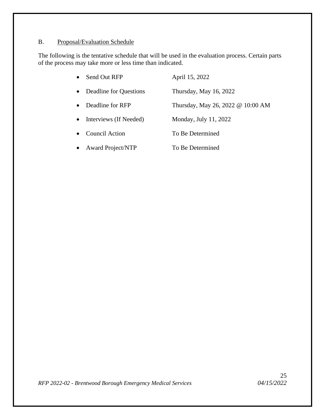# B. Proposal/Evaluation Schedule

The following is the tentative schedule that will be used in the evaluation process. Certain parts of the process may take more or less time than indicated.

| $\bullet$ | Send Out RFP           | April 15, 2022                    |
|-----------|------------------------|-----------------------------------|
| $\bullet$ | Deadline for Questions | Thursday, May 16, 2022            |
| $\bullet$ | Deadline for RFP       | Thursday, May 26, 2022 @ 10:00 AM |
| $\bullet$ | Interviews (If Needed) | Monday, July 11, 2022             |
| $\bullet$ | Council Action         | To Be Determined                  |
|           | • Award Project/NTP    | To Be Determined                  |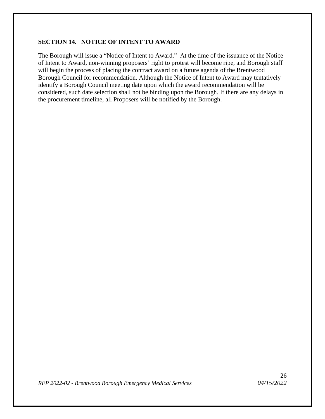#### **SECTION 14. NOTICE OF INTENT TO AWARD**

The Borough will issue a "Notice of Intent to Award." At the time of the issuance of the Notice of Intent to Award, non-winning proposers' right to protest will become ripe, and Borough staff will begin the process of placing the contract award on a future agenda of the Brentwood Borough Council for recommendation. Although the Notice of Intent to Award may tentatively identify a Borough Council meeting date upon which the award recommendation will be considered, such date selection shall not be binding upon the Borough. If there are any delays in the procurement timeline, all Proposers will be notified by the Borough.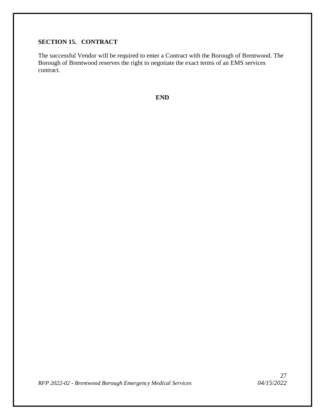# **SECTION 15. CONTRACT**

The successful Vendor will be required to enter a Contract with the Borough of Brentwood. The Borough of Brentwood reserves the right to negotiate the exact terms of an EMS services contract.

**END**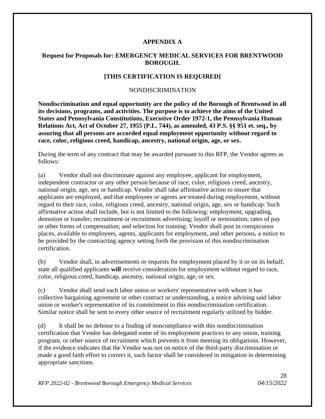#### **APPENDIX A**

#### **Request for Proposals for: EMERGENCY MEDICAL SERVICES FOR BRENTWOOD BOROUGH.**

#### **[THIS CERTIFICATION IS REQUIRED]**

#### NONDISCRIMINATION

**Nondiscrimination and equal opportunity are the policy of the Borough of Brentwood in all its decisions, programs, and activities. The purpose is to achieve the aims of the United States and Pennsylvania Constitutions, Executive Order 1972-1, the Pennsylvania Human Relations Act, Act of October 27, 1955 (P.L. 744), as amended, 43 P.S. §§ 951 et. seq., by assuring that all persons are accorded equal employment opportunity without regard to race, color, religious creed, handicap, ancestry, national origin, age, or sex.** 

During the term of any contract that may be awarded pursuant to this RFP, the Vendor agrees as follows:

(a) Vendor shall not discriminate against any employee, applicant for employment, independent contractor or any other person because of race, color, religious creed, ancestry, national origin, age, sex or handicap. Vendor shall take affirmative action to insure that applicants are employed, and that employees or agents are treated during employment, without regard to their race, color, religious creed, ancestry, national origin, age, sex or handicap. Such affirmative action shall include, but is not limited to the following: employment, upgrading, demotion or transfer; recruitment or recruitment advertising; layoff or termination; rates of pay or other forms of compensation; and selection for training. Vendor shall post in conspicuous places, available to employees, agents, applicants for employment, and other persons, a notice to be provided by the contracting agency setting forth the provision of this nondiscrimination certification.

(b) Vendor shall, in advertisements or requests for employment placed by it or on its behalf, state all qualified applicants **will** receive consideration for employment without regard to race, color, religious creed, handicap, ancestry, national origin, age, or sex.

(c) Vendor shall send each labor union or workers' representative with whom it has collective bargaining agreement or other contract or understanding, a notice advising said labor union or worker's representative of its commitment to this nondiscrimination certification. Similar notice shall be sent to every other source of recruitment regularly utilized by bidder.

(d) It shall be no defense to a finding of noncompliance with this nondiscrimination certification that Vendor has delegated some of its employment practices to any union, training program, or other source of recruitment which prevents it from meeting its obligations. However, if the evidence indicates that the Vendor was not on notice of the third-party discrimination or made a good faith effort to correct it, such factor shall be considered in mitigation in determining appropriate sanctions.

*RFP 2022-02 - Brentwood Borough Emergency Medical Services 04/15/2022*

28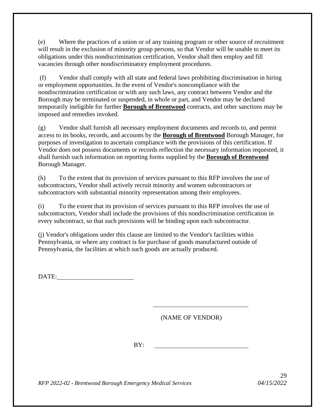(e) Where the practices of a union or of any training program or other source of recruitment will result in the exclusion of minority group persons, so that Vendor will be unable to meet its obligations under this nondiscrimination certification, Vendor shall then employ and fill vacancies through other nondiscriminatory employment procedures.

 (f) Vendor shall comply with all state and federal laws prohibiting discrimination in hiring or employment opportunities. In the event of Vendor's noncompliance with the nondiscrimination certification or with any such laws, any contract between Vendor and the Borough may be terminated or suspended, in whole or part, and Vendor may be declared temporarily ineligible for further **Borough of Brentwood** contracts, and other sanctions may be imposed and remedies invoked.

(g) Vendor shall furnish all necessary employment documents and records to, and permit access to its books, records, and accounts by the **Borough of Brentwood** Borough Manager, for purposes of investigation to ascertain compliance with the provisions of this certification. If Vendor does not possess documents or records reflection the necessary information requested, it shall furnish such information on reporting forms supplied by the **Borough of Brentwood** Borough Manager.

(h) To the extent that its provision of services pursuant to this RFP involves the use of subcontractors, Vendor shall actively recruit minority and women subcontractors or subcontractors with substantial minority representation among their employees.

(i) To the extent that its provision of services pursuant to this RFP involves the use of subcontractors, Vendor shall include the provisions of this nondiscrimination certification in every subcontract, so that such provisions will be binding upon each subcontractor.

(j) Vendor's obligations under this clause are limited to the Vendor's facilities within Pennsylvania, or where any contract is for purchase of goods manufactured outside of Pennsylvania, the facilities at which such goods are actually produced.

DATE:

(NAME OF VENDOR)

BY:

*RFP 2022-02 - Brentwood Borough Emergency Medical Services 04/15/2022*

29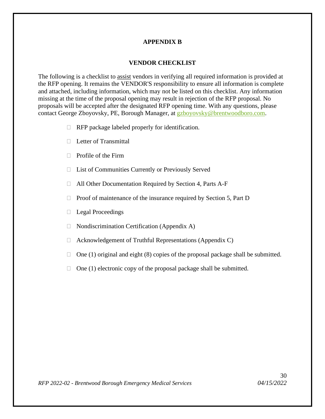#### **APPENDIX B**

#### **VENDOR CHECKLIST**

The following is a checklist to assist vendors in verifying all required information is provided at the RFP opening. It remains the VENDOR'S responsibility to ensure all information is complete and attached, including information, which may not be listed on this checklist. Any information missing at the time of the proposal opening may result in rejection of the RFP proposal. No proposals will be accepted after the designated RFP opening time. With any questions, please contact George Zboyovsky, PE, Borough Manager, at [gzboyovsky@brentwoodboro.com.](mailto:g4boyovsky@brentwoodboro.com)

- $\Box$  RFP package labeled properly for identification.
- $\Box$  Letter of Transmittal
- $\Box$  Profile of the Firm
- $\Box$  List of Communities Currently or Previously Served
- All Other Documentation Required by Section 4, Parts A-F
- $\Box$  Proof of maintenance of the insurance required by Section 5, Part D
- □ Legal Proceedings
- $\Box$  Nondiscrimination Certification (Appendix A)
- $\Box$  Acknowledgement of Truthful Representations (Appendix C)
- $\Box$  One (1) original and eight (8) copies of the proposal package shall be submitted.
- $\Box$  One (1) electronic copy of the proposal package shall be submitted.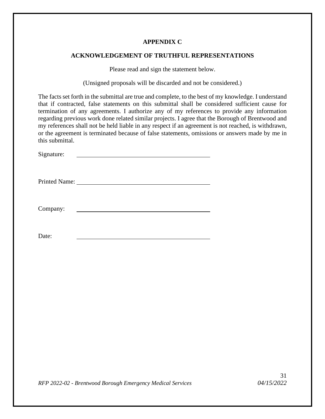#### **APPENDIX C**

#### **ACKNOWLEDGEMENT OF TRUTHFUL REPRESENTATIONS**

Please read and sign the statement below.

(Unsigned proposals will be discarded and not be considered.)

The facts set forth in the submittal are true and complete, to the best of my knowledge. I understand that if contracted, false statements on this submittal shall be considered sufficient cause for termination of any agreements. I authorize any of my references to provide any information regarding previous work done related similar projects. I agree that the Borough of Brentwood and my references shall not be held liable in any respect if an agreement is not reached, is withdrawn, or the agreement is terminated because of false statements, omissions or answers made by me in this submittal.

Signature:

Printed Name:

Company:

Date: